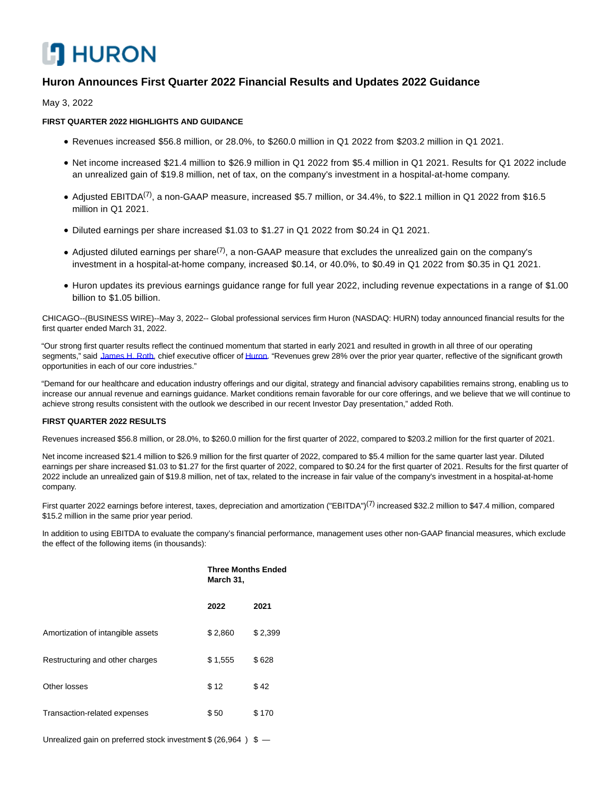# **11 HURON**

# **Huron Announces First Quarter 2022 Financial Results and Updates 2022 Guidance**

May 3, 2022

## **FIRST QUARTER 2022 HIGHLIGHTS AND GUIDANCE**

- Revenues increased \$56.8 million, or 28.0%, to \$260.0 million in Q1 2022 from \$203.2 million in Q1 2021.
- Net income increased \$21.4 million to \$26.9 million in Q1 2022 from \$5.4 million in Q1 2021. Results for Q1 2022 include an unrealized gain of \$19.8 million, net of tax, on the company's investment in a hospital-at-home company.
- Adjusted EBITDA<sup>(7)</sup>, a non-GAAP measure, increased \$5.7 million, or 34.4%, to \$22.1 million in Q1 2022 from \$16.5 million in Q1 2021.
- Diluted earnings per share increased \$1.03 to \$1.27 in Q1 2022 from \$0.24 in Q1 2021.
- Adjusted diluted earnings per share<sup>(7)</sup>, a non-GAAP measure that excludes the unrealized gain on the company's investment in a hospital-at-home company, increased \$0.14, or 40.0%, to \$0.49 in Q1 2022 from \$0.35 in Q1 2021.
- Huron updates its previous earnings guidance range for full year 2022, including revenue expectations in a range of \$1.00 billion to \$1.05 billion.

CHICAGO--(BUSINESS WIRE)--May 3, 2022-- Global professional services firm Huron (NASDAQ: HURN) today announced financial results for the first quarter ended March 31, 2022.

"Our strong first quarter results reflect the continued momentum that started in early 2021 and resulted in growth in all three of our operating segments," said [James H. Roth,](https://cts.businesswire.com/ct/CT?id=smartlink&url=https%3A%2F%2Fwww.huronconsultinggroup.com%2Fcompany%2Fexperts%2Femployees%2Fjim-roth&esheet=52704777&newsitemid=20220503005253&lan=en-US&anchor=James+H.+Roth&index=1&md5=787950e2fbbbaf0ffa3d74331985c202) chief executive officer of [Huron.](https://cts.businesswire.com/ct/CT?id=smartlink&url=https%3A%2F%2Fwww.huronconsultinggroup.com%2F&esheet=52704777&newsitemid=20220503005253&lan=en-US&anchor=Huron&index=2&md5=775fcf6caaa58c308fbee69562e0a67d) "Revenues grew 28% over the prior year quarter, reflective of the significant growth opportunities in each of our core industries."

"Demand for our healthcare and education industry offerings and our digital, strategy and financial advisory capabilities remains strong, enabling us to increase our annual revenue and earnings guidance. Market conditions remain favorable for our core offerings, and we believe that we will continue to achieve strong results consistent with the outlook we described in our recent Investor Day presentation," added Roth.

## **FIRST QUARTER 2022 RESULTS**

Revenues increased \$56.8 million, or 28.0%, to \$260.0 million for the first quarter of 2022, compared to \$203.2 million for the first quarter of 2021.

Net income increased \$21.4 million to \$26.9 million for the first quarter of 2022, compared to \$5.4 million for the same quarter last year. Diluted earnings per share increased \$1.03 to \$1.27 for the first quarter of 2022, compared to \$0.24 for the first quarter of 2021. Results for the first quarter of 2022 include an unrealized gain of \$19.8 million, net of tax, related to the increase in fair value of the company's investment in a hospital-at-home company.

First quarter 2022 earnings before interest, taxes, depreciation and amortization ("EBITDA")<sup>(7)</sup> increased \$32.2 million to \$47.4 million, compared \$15.2 million in the same prior year period.

In addition to using EBITDA to evaluate the company's financial performance, management uses other non-GAAP financial measures, which exclude the effect of the following items (in thousands):

|                                                           | <b>Three Months Ended</b><br>March 31, |         |  |
|-----------------------------------------------------------|----------------------------------------|---------|--|
|                                                           | 2022                                   | 2021    |  |
| Amortization of intangible assets                         | \$2,860                                | \$2,399 |  |
| Restructuring and other charges                           | \$1,555                                | \$628   |  |
| Other losses                                              | \$12                                   | \$42    |  |
| Transaction-related expenses                              | \$50                                   | \$170   |  |
| Unrealized gain on preferred stock investment \$ (26,964) |                                        | $s -$   |  |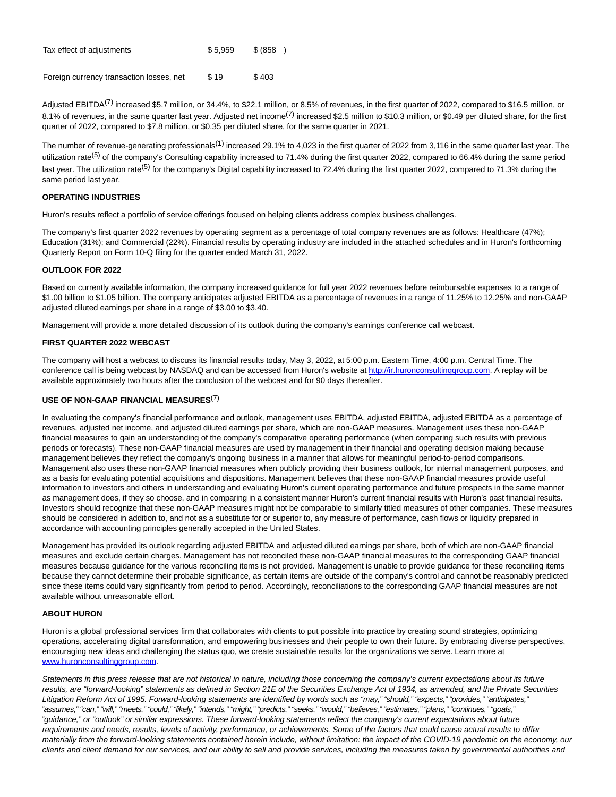| Tax effect of adjustments                | \$5.959 | $\rightarrow$<br>\$ (858) |
|------------------------------------------|---------|---------------------------|
| Foreign currency transaction losses, net | \$19    | \$403                     |

Adjusted EBITDA<sup>(7)</sup> increased \$5.7 million, or 34.4%, to \$22.1 million, or 8.5% of revenues, in the first quarter of 2022, compared to \$16.5 million, or 8.1% of revenues, in the same quarter last year. Adjusted net income<sup>(7)</sup> increased \$2.5 million to \$10.3 million, or \$0.49 per diluted share, for the first quarter of 2022, compared to \$7.8 million, or \$0.35 per diluted share, for the same quarter in 2021.

The number of revenue-generating professionals(1) increased 29.1% to 4,023 in the first quarter of 2022 from 3,116 in the same quarter last year. The utilization rate<sup>(5)</sup> of the company's Consulting capability increased to 71.4% during the first quarter 2022, compared to 66.4% during the same period last year. The utilization rate<sup>(5)</sup> for the company's Digital capability increased to 72.4% during the first quarter 2022, compared to 71.3% during the same period last year.

## **OPERATING INDUSTRIES**

Huron's results reflect a portfolio of service offerings focused on helping clients address complex business challenges.

The company's first quarter 2022 revenues by operating segment as a percentage of total company revenues are as follows: Healthcare (47%); Education (31%); and Commercial (22%). Financial results by operating industry are included in the attached schedules and in Huron's forthcoming Quarterly Report on Form 10-Q filing for the quarter ended March 31, 2022.

### **OUTLOOK FOR 2022**

Based on currently available information, the company increased guidance for full year 2022 revenues before reimbursable expenses to a range of \$1.00 billion to \$1.05 billion. The company anticipates adjusted EBITDA as a percentage of revenues in a range of 11.25% to 12.25% and non-GAAP adjusted diluted earnings per share in a range of \$3.00 to \$3.40.

Management will provide a more detailed discussion of its outlook during the company's earnings conference call webcast.

## **FIRST QUARTER 2022 WEBCAST**

The company will host a webcast to discuss its financial results today, May 3, 2022, at 5:00 p.m. Eastern Time, 4:00 p.m. Central Time. The conference call is being webcast by NASDAQ and can be accessed from Huron's website at [http://ir.huronconsultinggroup.com.](https://cts.businesswire.com/ct/CT?id=smartlink&url=http%3A%2F%2Fir.huronconsultinggroup.com&esheet=52704777&newsitemid=20220503005253&lan=en-US&anchor=http%3A%2F%2Fir.huronconsultinggroup.com&index=3&md5=09cbf2280c6f5a75290f1947b9feecb5) A replay will be available approximately two hours after the conclusion of the webcast and for 90 days thereafter.

## **USE OF NON-GAAP FINANCIAL MEASURES**(7)

In evaluating the company's financial performance and outlook, management uses EBITDA, adjusted EBITDA, adjusted EBITDA as a percentage of revenues, adjusted net income, and adjusted diluted earnings per share, which are non-GAAP measures. Management uses these non-GAAP financial measures to gain an understanding of the company's comparative operating performance (when comparing such results with previous periods or forecasts). These non-GAAP financial measures are used by management in their financial and operating decision making because management believes they reflect the company's ongoing business in a manner that allows for meaningful period-to-period comparisons. Management also uses these non-GAAP financial measures when publicly providing their business outlook, for internal management purposes, and as a basis for evaluating potential acquisitions and dispositions. Management believes that these non-GAAP financial measures provide useful information to investors and others in understanding and evaluating Huron's current operating performance and future prospects in the same manner as management does, if they so choose, and in comparing in a consistent manner Huron's current financial results with Huron's past financial results. Investors should recognize that these non-GAAP measures might not be comparable to similarly titled measures of other companies. These measures should be considered in addition to, and not as a substitute for or superior to, any measure of performance, cash flows or liquidity prepared in accordance with accounting principles generally accepted in the United States.

Management has provided its outlook regarding adjusted EBITDA and adjusted diluted earnings per share, both of which are non-GAAP financial measures and exclude certain charges. Management has not reconciled these non-GAAP financial measures to the corresponding GAAP financial measures because guidance for the various reconciling items is not provided. Management is unable to provide guidance for these reconciling items because they cannot determine their probable significance, as certain items are outside of the company's control and cannot be reasonably predicted since these items could vary significantly from period to period. Accordingly, reconciliations to the corresponding GAAP financial measures are not available without unreasonable effort.

### **ABOUT HURON**

Huron is a global professional services firm that collaborates with clients to put possible into practice by creating sound strategies, optimizing operations, accelerating digital transformation, and empowering businesses and their people to own their future. By embracing diverse perspectives, encouraging new ideas and challenging the status quo, we create sustainable results for the organizations we serve. Learn more at [www.huronconsultinggroup.com.](https://cts.businesswire.com/ct/CT?id=smartlink&url=http%3A%2F%2Fwww.huronconsultinggroup.com&esheet=52704777&newsitemid=20220503005253&lan=en-US&anchor=www.huronconsultinggroup.com&index=4&md5=bf727c9f312381c71c3a6d66b0c0513d)

Statements in this press release that are not historical in nature, including those concerning the company's current expectations about its future results, are "forward-looking" statements as defined in Section 21E of the Securities Exchange Act of 1934, as amended, and the Private Securities Litigation Reform Act of 1995. Forward-looking statements are identified by words such as "may," "should," "expects," "provides," "anticipates," "assumes," "can," "will," "meets," "could," "likely," "intends," "might," "predicts," "seeks," "would," "believes," "estimates," "plans," "continues," "goals," "guidance," or "outlook" or similar expressions. These forward-looking statements reflect the company's current expectations about future requirements and needs, results, levels of activity, performance, or achievements. Some of the factors that could cause actual results to differ materially from the forward-looking statements contained herein include, without limitation: the impact of the COVID-19 pandemic on the economy, our clients and client demand for our services, and our ability to sell and provide services, including the measures taken by governmental authorities and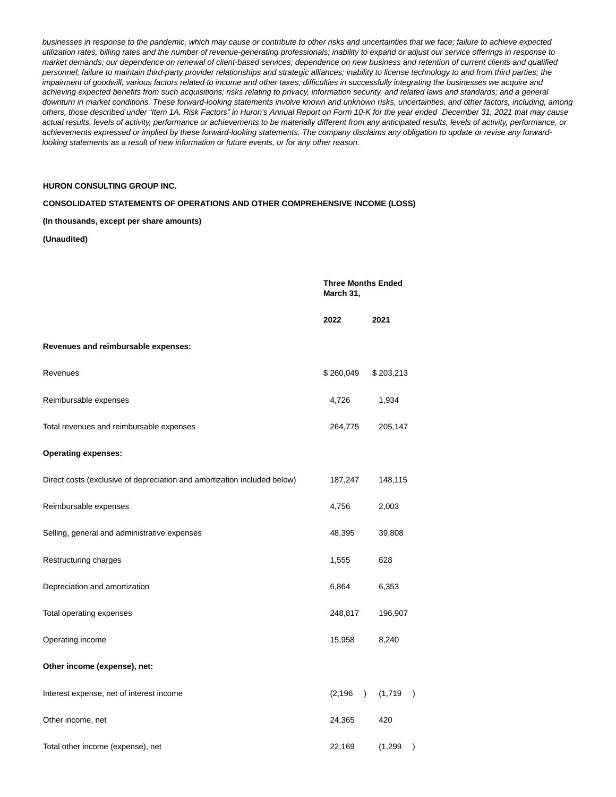businesses in response to the pandemic, which may cause or contribute to other risks and uncertainties that we face; failure to achieve expected utilization rates, billing rates and the number of revenue-generating professionals; inability to expand or adjust our service offerings in response to market demands; our dependence on renewal of client-based services; dependence on new business and retention of current clients and qualified personnel; failure to maintain third-party provider relationships and strategic alliances; inability to license technology to and from third parties; the impairment of goodwill; various factors related to income and other taxes; difficulties in successfully integrating the businesses we acquire and achieving expected benefits from such acquisitions; risks relating to privacy, information security, and related laws and standards; and a general downturn in market conditions. These forward-looking statements involve known and unknown risks, uncertainties, and other factors, including, among others, those described under "Item 1A. Risk Factors" in Huron's Annual Report on Form 10-K for the year ended December 31, 2021 that may cause actual results, levels of activity, performance or achievements to be materially different from any anticipated results, levels of activity, performance, or achievements expressed or implied by these forward-looking statements. The company disclaims any obligation to update or revise any forwardlooking statements as a result of new information or future events, or for any other reason.

#### **HURON CONSULTING GROUP INC.**

## **CONSOLIDATED STATEMENTS OF OPERATIONS AND OTHER COMPREHENSIVE INCOME (LOSS)**

#### **(In thousands, except per share amounts)**

|                                                                          | <b>Three Months Ended</b><br>March 31, |                          |  |  |
|--------------------------------------------------------------------------|----------------------------------------|--------------------------|--|--|
|                                                                          | 2022                                   | 2021                     |  |  |
| Revenues and reimbursable expenses:                                      |                                        |                          |  |  |
| Revenues                                                                 | \$260,049                              | \$203,213                |  |  |
| Reimbursable expenses                                                    | 4,726                                  | 1,934                    |  |  |
| Total revenues and reimbursable expenses                                 | 264,775                                | 205,147                  |  |  |
| <b>Operating expenses:</b>                                               |                                        |                          |  |  |
| Direct costs (exclusive of depreciation and amortization included below) | 187,247                                | 148,115                  |  |  |
| Reimbursable expenses                                                    | 4,756                                  | 2,003                    |  |  |
| Selling, general and administrative expenses                             | 48,395                                 | 39,808                   |  |  |
| Restructuring charges                                                    | 1,555                                  | 628                      |  |  |
| Depreciation and amortization                                            | 6,864                                  | 6,353                    |  |  |
| Total operating expenses                                                 | 248,817                                | 196,907                  |  |  |
| Operating income                                                         | 15,958                                 | 8,240                    |  |  |
| Other income (expense), net:                                             |                                        |                          |  |  |
| Interest expense, net of interest income                                 | (2, 196)                               | (1,719)<br>$\lambda$     |  |  |
| Other income, net                                                        | 24,365                                 | 420                      |  |  |
| Total other income (expense), net                                        | 22,169                                 | (1,299)<br>$\mathcal{E}$ |  |  |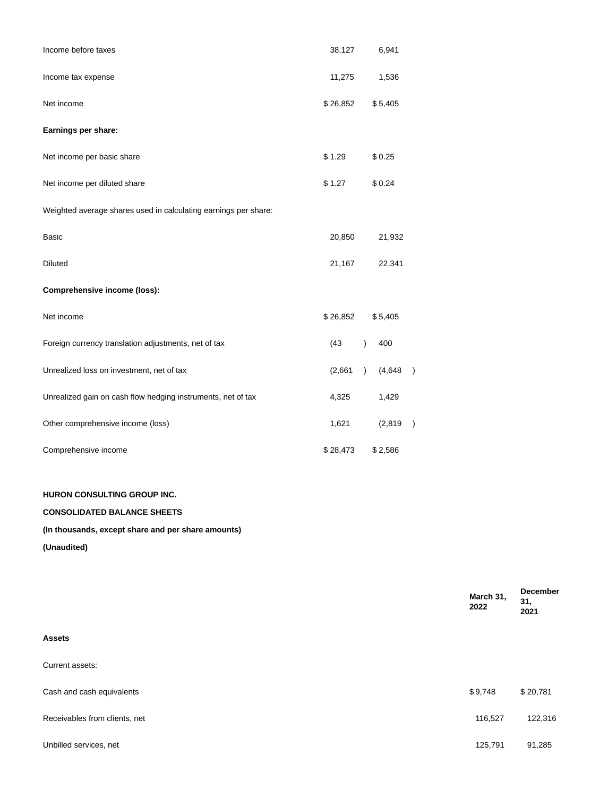| Income before taxes                                             | 38,127   | 6,941                                 |
|-----------------------------------------------------------------|----------|---------------------------------------|
| Income tax expense                                              | 11,275   | 1,536                                 |
| Net income                                                      | \$26,852 | \$5,405                               |
| Earnings per share:                                             |          |                                       |
| Net income per basic share                                      | \$1.29   | \$0.25                                |
| Net income per diluted share                                    | \$1.27   | \$0.24                                |
| Weighted average shares used in calculating earnings per share: |          |                                       |
| Basic                                                           | 20,850   | 21,932                                |
| <b>Diluted</b>                                                  | 21,167   | 22,341                                |
| <b>Comprehensive income (loss):</b>                             |          |                                       |
| Net income                                                      | \$26,852 | \$5,405                               |
| Foreign currency translation adjustments, net of tax            | (43)     | 400<br>$\lambda$                      |
| Unrealized loss on investment, net of tax                       | (2,661)  | (4,648)<br>$\lambda$<br>$\mathcal{E}$ |
| Unrealized gain on cash flow hedging instruments, net of tax    | 4,325    | 1,429                                 |
| Other comprehensive income (loss)                               | 1,621    | (2,819)<br>$\mathcal{E}$              |
| Comprehensive income                                            | \$28,473 | \$2,586                               |

**HURON CONSULTING GROUP INC.**

# **CONSOLIDATED BALANCE SHEETS**

# **(In thousands, except share and per share amounts)**

|                               | March 31,<br>2022 | <b>December</b><br>31,<br>2021 |
|-------------------------------|-------------------|--------------------------------|
| <b>Assets</b>                 |                   |                                |
| Current assets:               |                   |                                |
| Cash and cash equivalents     | \$9,748           | \$20,781                       |
| Receivables from clients, net | 116,527           | 122,316                        |
| Unbilled services, net        | 125,791           | 91,285                         |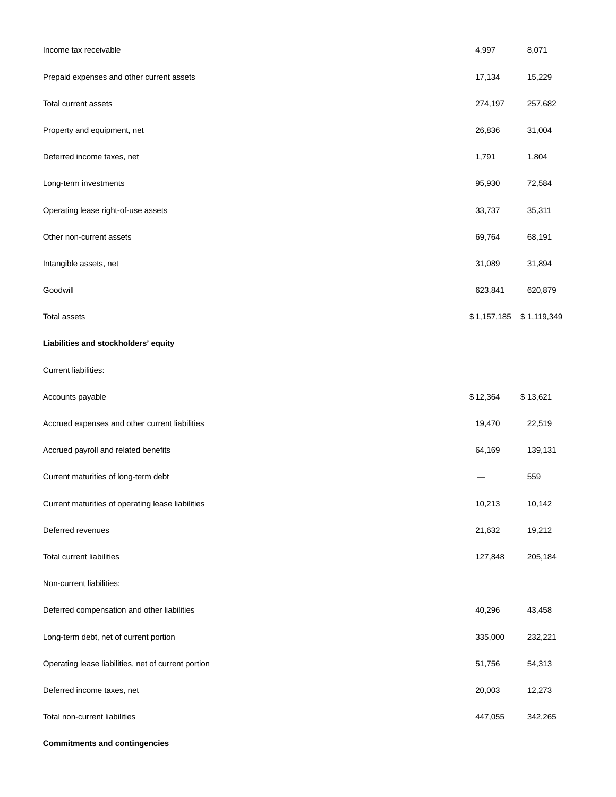| Income tax receivable                               | 4,997                   | 8,071    |
|-----------------------------------------------------|-------------------------|----------|
| Prepaid expenses and other current assets           | 17,134                  | 15,229   |
| Total current assets                                | 274,197                 | 257,682  |
| Property and equipment, net                         | 26,836                  | 31,004   |
| Deferred income taxes, net                          | 1,791                   | 1,804    |
| Long-term investments                               | 95,930                  | 72,584   |
| Operating lease right-of-use assets                 | 33,737                  | 35,311   |
| Other non-current assets                            | 69,764                  | 68,191   |
| Intangible assets, net                              | 31,089                  | 31,894   |
| Goodwill                                            | 623,841                 | 620,879  |
| <b>Total assets</b>                                 | \$1,157,185 \$1,119,349 |          |
| Liabilities and stockholders' equity                |                         |          |
| Current liabilities:                                |                         |          |
| Accounts payable                                    | \$12,364                | \$13,621 |
| Accrued expenses and other current liabilities      | 19,470                  | 22,519   |
| Accrued payroll and related benefits                | 64,169                  | 139,131  |
| Current maturities of long-term debt                |                         | 559      |
| Current maturities of operating lease liabilities   | 10,213                  | 10,142   |
| Deferred revenues                                   | 21,632                  | 19,212   |
| <b>Total current liabilities</b>                    | 127,848                 | 205,184  |
| Non-current liabilities:                            |                         |          |
| Deferred compensation and other liabilities         | 40,296                  | 43,458   |
| Long-term debt, net of current portion              | 335,000                 | 232,221  |
| Operating lease liabilities, net of current portion | 51,756                  | 54,313   |
| Deferred income taxes, net                          | 20,003                  | 12,273   |
|                                                     |                         |          |

**Commitments and contingencies**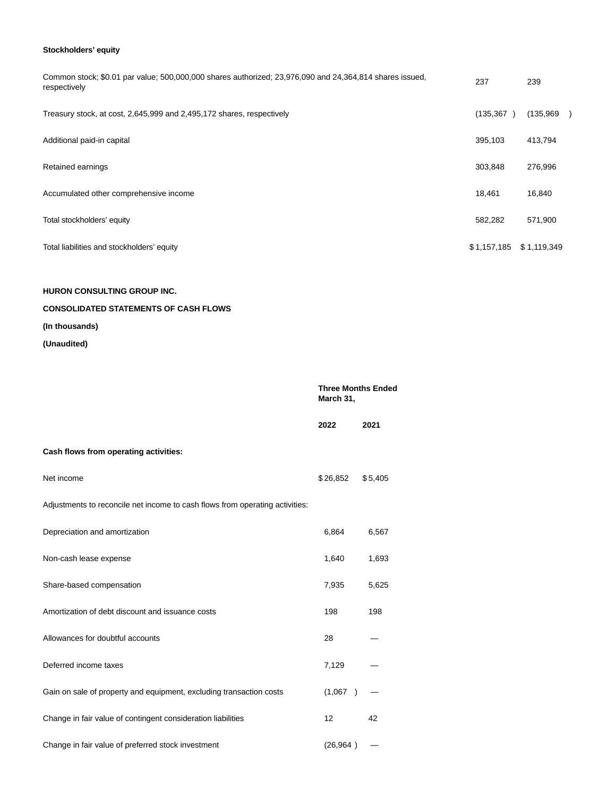## **Stockholders' equity**

| Common stock; \$0.01 par value; 500,000,000 shares authorized; 23,976,090 and 24,364,814 shares issued,<br>respectively | 237                       | 239       |
|-------------------------------------------------------------------------------------------------------------------------|---------------------------|-----------|
| Treasury stock, at cost, 2,645,999 and 2,495,172 shares, respectively                                                   | (135, 367)                | (135,969) |
| Additional paid-in capital                                                                                              | 395,103                   | 413,794   |
| Retained earnings                                                                                                       | 303,848                   | 276,996   |
| Accumulated other comprehensive income                                                                                  | 18,461                    | 16,840    |
| Total stockholders' equity                                                                                              | 582,282                   | 571,900   |
| Total liabilities and stockholders' equity                                                                              | $$1,157,185$ $$1,119,349$ |           |

## **HURON CONSULTING GROUP INC.**

## **CONSOLIDATED STATEMENTS OF CASH FLOWS**

## **(In thousands)**

|                                                                              | <b>Three Months Ended</b><br>March 31, |         |
|------------------------------------------------------------------------------|----------------------------------------|---------|
|                                                                              | 2022                                   | 2021    |
| Cash flows from operating activities:                                        |                                        |         |
| Net income                                                                   | \$26,852                               | \$5,405 |
| Adjustments to reconcile net income to cash flows from operating activities: |                                        |         |
| Depreciation and amortization                                                | 6,864                                  | 6,567   |
| Non-cash lease expense                                                       | 1,640                                  | 1,693   |
| Share-based compensation                                                     | 7,935                                  | 5,625   |
| Amortization of debt discount and issuance costs                             | 198                                    | 198     |
| Allowances for doubtful accounts                                             | 28                                     |         |
| Deferred income taxes                                                        | 7,129                                  |         |
| Gain on sale of property and equipment, excluding transaction costs          | (1,067)                                |         |
| Change in fair value of contingent consideration liabilities                 | 12                                     | 42      |
| Change in fair value of preferred stock investment                           | (26, 964)                              |         |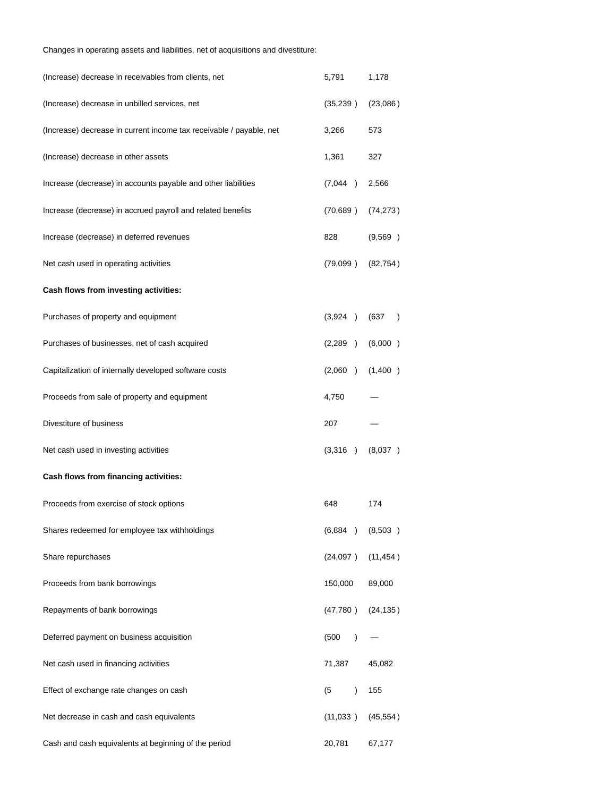# Changes in operating assets and liabilities, net of acquisitions and divestiture:

| (Increase) decrease in receivables from clients, net                | 5,791                    | 1,178              |
|---------------------------------------------------------------------|--------------------------|--------------------|
| (Increase) decrease in unbilled services, net                       | (35,239)                 | (23,086)           |
| (Increase) decrease in current income tax receivable / payable, net | 3,266                    | 573                |
| (Increase) decrease in other assets                                 | 1,361                    | 327                |
| Increase (decrease) in accounts payable and other liabilities       | (7,044)                  | 2,566              |
| Increase (decrease) in accrued payroll and related benefits         | (70, 689)                | (74, 273)          |
| Increase (decrease) in deferred revenues                            | 828                      | (9,569)            |
| Net cash used in operating activities                               | (79,099)                 | (82, 754)          |
| Cash flows from investing activities:                               |                          |                    |
| Purchases of property and equipment                                 | (3,924)                  | (637)<br>$\lambda$ |
| Purchases of businesses, net of cash acquired                       | (2,289)<br>$\rightarrow$ | (6,000)            |
| Capitalization of internally developed software costs               | (2,060)<br>$\rightarrow$ | (1,400)            |
| Proceeds from sale of property and equipment                        | 4,750                    |                    |
|                                                                     |                          |                    |
| Divestiture of business                                             | 207                      |                    |
| Net cash used in investing activities                               | (3,316)                  | (8,037)            |
| Cash flows from financing activities:                               |                          |                    |
| Proceeds from exercise of stock options                             | 648                      | 174                |
| Shares redeemed for employee tax withholdings                       | (6,884)                  | (8,503)            |
| Share repurchases                                                   | (24,097)                 | (11, 454)          |
| Proceeds from bank borrowings                                       | 150,000                  | 89,000             |
| Repayments of bank borrowings                                       | (47,780)                 | (24, 135)          |
| Deferred payment on business acquisition                            | (500)<br>$\lambda$       |                    |
| Net cash used in financing activities                               | 71,387                   | 45,082             |
| Effect of exchange rate changes on cash                             | (5)<br>$\mathcal{E}$     | 155                |
| Net decrease in cash and cash equivalents                           | (11,033)                 | (45, 554)          |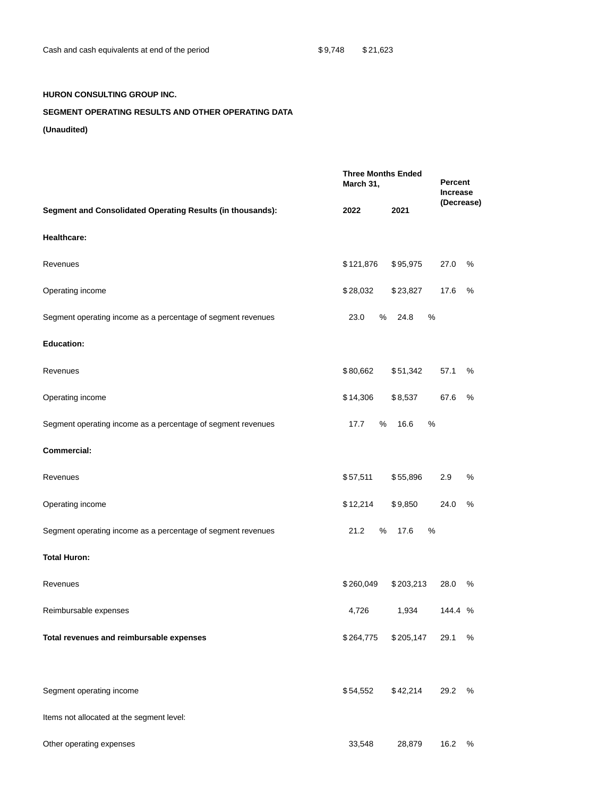# **HURON CONSULTING GROUP INC.**

## **SEGMENT OPERATING RESULTS AND OTHER OPERATING DATA**

|                                                              |           | <b>Three Months Ended</b><br>March 31, |           |   | Percent<br><b>Increase</b> |   |  |
|--------------------------------------------------------------|-----------|----------------------------------------|-----------|---|----------------------------|---|--|
| Segment and Consolidated Operating Results (in thousands):   | 2022      |                                        | 2021      |   | (Decrease)                 |   |  |
| Healthcare:                                                  |           |                                        |           |   |                            |   |  |
| Revenues                                                     | \$121,876 |                                        | \$95,975  |   | 27.0                       | ℅ |  |
| Operating income                                             | \$28,032  |                                        | \$23,827  |   | 17.6                       | % |  |
| Segment operating income as a percentage of segment revenues | 23.0      | %                                      | 24.8      | % |                            |   |  |
| <b>Education:</b>                                            |           |                                        |           |   |                            |   |  |
| <b>Revenues</b>                                              | \$80,662  |                                        | \$51,342  |   | 57.1                       | % |  |
| Operating income                                             | \$14,306  |                                        | \$8,537   |   | 67.6                       | ℅ |  |
| Segment operating income as a percentage of segment revenues | 17.7      | %                                      | 16.6      | % |                            |   |  |
| Commercial:                                                  |           |                                        |           |   |                            |   |  |
| Revenues                                                     | \$57,511  |                                        | \$55,896  |   | 2.9                        | % |  |
| Operating income                                             | \$12,214  |                                        | \$9,850   |   | 24.0                       | % |  |
| Segment operating income as a percentage of segment revenues | 21.2      | %                                      | 17.6      | % |                            |   |  |
| <b>Total Huron:</b>                                          |           |                                        |           |   |                            |   |  |
| Revenues                                                     | \$260,049 |                                        | \$203,213 |   | 28.0                       | ℅ |  |
| Reimbursable expenses                                        | 4,726     |                                        | 1,934     |   | 144.4 %                    |   |  |
| Total revenues and reimbursable expenses                     | \$264,775 |                                        | \$205,147 |   | 29.1                       | % |  |
|                                                              |           |                                        |           |   |                            |   |  |
| Segment operating income                                     | \$54,552  |                                        | \$42,214  |   | 29.2                       | % |  |
| Items not allocated at the segment level:                    |           |                                        |           |   |                            |   |  |
| Other operating expenses                                     | 33,548    |                                        | 28,879    |   | 16.2                       | % |  |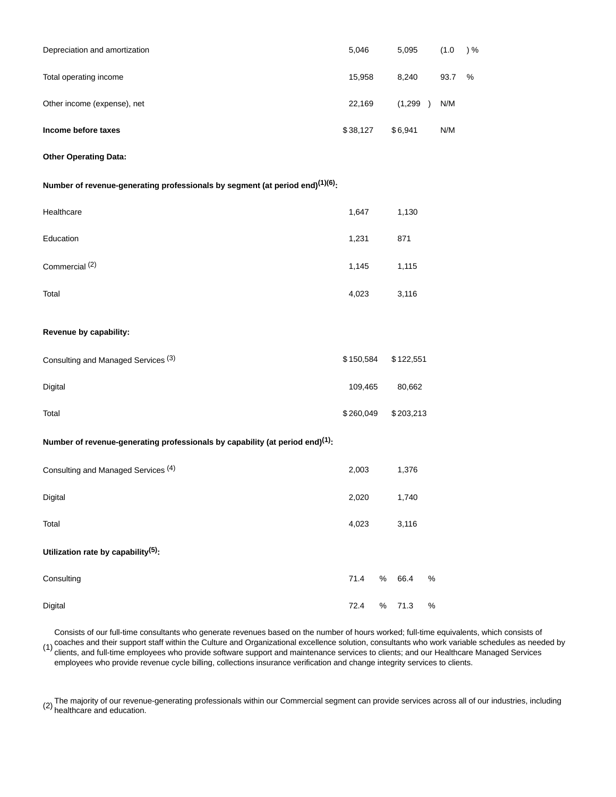| Income before taxes           | \$38,127 | \$6,941 | N/M   |     |
|-------------------------------|----------|---------|-------|-----|
| Other income (expense), net   | 22.169   | (1.299) | N/M   |     |
| Total operating income        | 15.958   | 8.240   | 93.7  | %   |
| Depreciation and amortization | 5.046    | 5.095   | (1.0) | ) % |

## **Other Operating Data:**

**Number of revenue-generating professionals by segment (at period end)(1)(6):**

| Healthcare                                                                                | 1,647     |   | 1,130     |      |
|-------------------------------------------------------------------------------------------|-----------|---|-----------|------|
| Education                                                                                 | 1,231     |   |           |      |
| Commercial <sup>(2)</sup>                                                                 | 1,145     |   | 1,115     |      |
| Total                                                                                     | 4,023     |   | 3,116     |      |
| Revenue by capability:                                                                    |           |   |           |      |
| Consulting and Managed Services (3)                                                       | \$150,584 |   | \$122,551 |      |
| Digital                                                                                   | 109,465   |   | 80,662    |      |
| Total                                                                                     | \$260,049 |   | \$203,213 |      |
| Number of revenue-generating professionals by capability (at period end) <sup>(1)</sup> : |           |   |           |      |
| Consulting and Managed Services (4)                                                       | 2,003     |   | 1,376     |      |
| Digital                                                                                   | 2,020     |   | 1,740     |      |
| Total                                                                                     | 4,023     |   | 3,116     |      |
| Utilization rate by capability <sup>(5)</sup> :                                           |           |   |           |      |
| Consulting                                                                                | 71.4      | % | 66.4      | $\%$ |

Digital 72.4 % 71.3 %

coaches and their support staff within the Culture and Organizational excellence solution, consultants who work variable schedules as needed by<br>(1) eliente and full time ampleuses who previde settuers support and maintenan Consists of our full-time consultants who generate revenues based on the number of hours worked; full-time equivalents, which consists of clients, and full-time employees who provide software support and maintenance services to clients; and our Healthcare Managed Services employees who provide revenue cycle billing, collections insurance verification and change integrity services to clients.

(2) The majority of our revenue-generating professionals within our Commercial segment can provide services across all of our industries, including healthcare and education.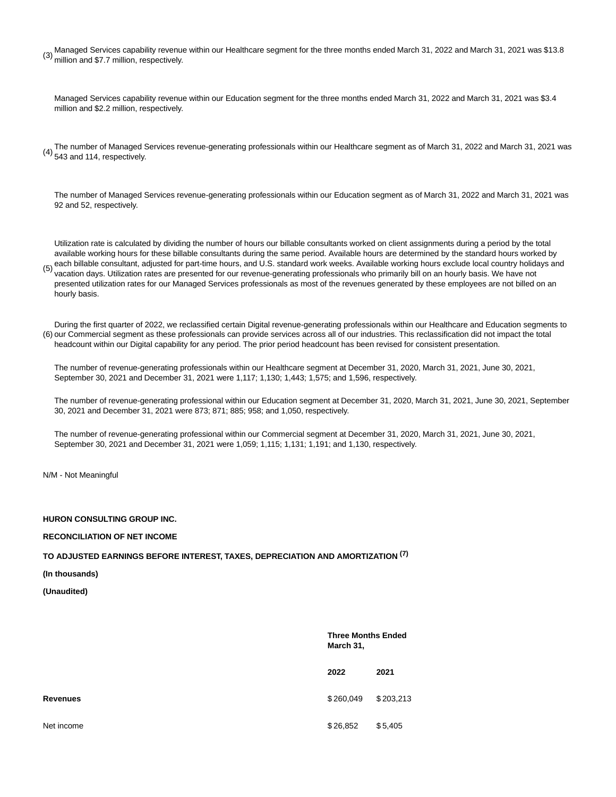(3) Managed Services capability revenue within our Healthcare segment for the three months ended March 31, 2022 and March 31, 2021 was \$13.8 million and \$7.7 million, respectively.

Managed Services capability revenue within our Education segment for the three months ended March 31, 2022 and March 31, 2021 was \$3.4 million and \$2.2 million, respectively.

(4) The number of Managed Services revenue-generating professionals within our Healthcare segment as of March 31, 2022 and March 31, 2021 was<br>  $(4)$  543 and 114 respectively 543 and 114, respectively.

The number of Managed Services revenue-generating professionals within our Education segment as of March 31, 2022 and March 31, 2021 was 92 and 52, respectively.

(5) vacation days. Utilization rates are presented for our revenue-generating professionals who primarily bill on an hourly basis. We have not Utilization rate is calculated by dividing the number of hours our billable consultants worked on client assignments during a period by the total available working hours for these billable consultants during the same period. Available hours are determined by the standard hours worked by each billable consultant, adjusted for part-time hours, and U.S. standard work weeks. Available working hours exclude local country holidays and presented utilization rates for our Managed Services professionals as most of the revenues generated by these employees are not billed on an hourly basis.

(6) our Commercial segment as these professionals can provide services across all of our industries. This reclassification did not impact the total During the first quarter of 2022, we reclassified certain Digital revenue-generating professionals within our Healthcare and Education segments to headcount within our Digital capability for any period. The prior period headcount has been revised for consistent presentation.

The number of revenue-generating professionals within our Healthcare segment at December 31, 2020, March 31, 2021, June 30, 2021, September 30, 2021 and December 31, 2021 were 1,117; 1,130; 1,443; 1,575; and 1,596, respectively.

The number of revenue-generating professional within our Education segment at December 31, 2020, March 31, 2021, June 30, 2021, September 30, 2021 and December 31, 2021 were 873; 871; 885; 958; and 1,050, respectively.

The number of revenue-generating professional within our Commercial segment at December 31, 2020, March 31, 2021, June 30, 2021, September 30, 2021 and December 31, 2021 were 1,059; 1,115; 1,131; 1,191; and 1,130, respectively.

N/M - Not Meaningful

## **HURON CONSULTING GROUP INC.**

#### **RECONCILIATION OF NET INCOME**

## **TO ADJUSTED EARNINGS BEFORE INTEREST, TAXES, DEPRECIATION AND AMORTIZATION (7)**

**(In thousands)**

|            | March 31, | <b>Three Months Ended</b> |  |  |
|------------|-----------|---------------------------|--|--|
|            | 2022      | 2021                      |  |  |
| Revenues   | \$260,049 | \$203,213                 |  |  |
| Net income | \$26,852  | \$5,405                   |  |  |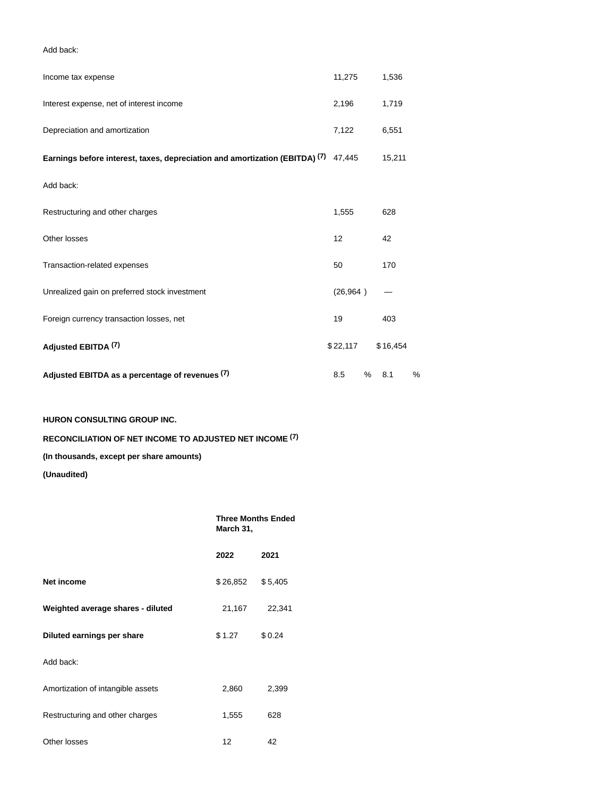Add back:

| Income tax expense                                                                            | 11,275   |   | 1,536    |   |
|-----------------------------------------------------------------------------------------------|----------|---|----------|---|
| Interest expense, net of interest income                                                      | 2,196    |   | 1,719    |   |
| Depreciation and amortization                                                                 | 7,122    |   | 6,551    |   |
| Earnings before interest, taxes, depreciation and amortization (EBITDA) <sup>(7)</sup> 47,445 |          |   | 15,211   |   |
| Add back:                                                                                     |          |   |          |   |
| Restructuring and other charges                                                               | 1,555    |   | 628      |   |
| Other losses                                                                                  | 12       |   | 42       |   |
| Transaction-related expenses                                                                  | 50       |   | 170      |   |
| Unrealized gain on preferred stock investment                                                 | (26.964) |   |          |   |
| Foreign currency transaction losses, net                                                      | 19       |   | 403      |   |
| Adjusted EBITDA (7)                                                                           | \$22,117 |   | \$16,454 |   |
| Adjusted EBITDA as a percentage of revenues (7)                                               | 8.5      | % | 8.1      | % |

**HURON CONSULTING GROUP INC.**

**RECONCILIATION OF NET INCOME TO ADJUSTED NET INCOME (7)**

**(In thousands, except per share amounts)**

|                                   | <b>Three Months Ended</b><br>March 31, |         |  |
|-----------------------------------|----------------------------------------|---------|--|
|                                   | 2022                                   | 2021    |  |
| Net income                        | \$26,852                               | \$5,405 |  |
| Weighted average shares - diluted | 21,167                                 | 22,341  |  |
| Diluted earnings per share        | \$1.27                                 | \$0.24  |  |
| Add back:                         |                                        |         |  |
| Amortization of intangible assets | 2,860                                  | 2,399   |  |
| Restructuring and other charges   | 1,555                                  | 628     |  |
| Other losses                      | 12                                     | 42      |  |